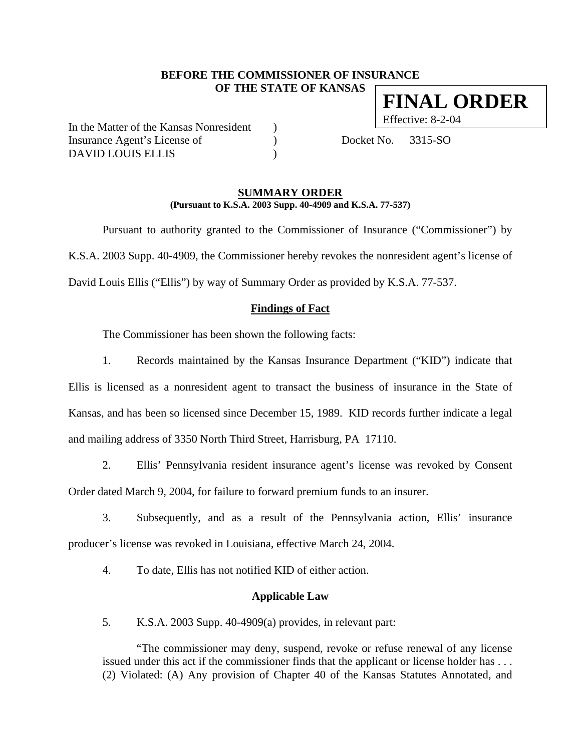# **BEFORE THE COMMISSIONER OF INSURANCE OF THE STATE OF KANSAS FINAL ORDER**

In the Matter of the Kansas Nonresident ) Insurance Agent's License of (a) Docket No. 3315-SO DAVID LOUIS ELLIS )

Effective: 8-2-04

#### **SUMMARY ORDER (Pursuant to K.S.A. 2003 Supp. 40-4909 and K.S.A. 77-537)**

 Pursuant to authority granted to the Commissioner of Insurance ("Commissioner") by K.S.A. 2003 Supp. 40-4909, the Commissioner hereby revokes the nonresident agent's license of David Louis Ellis ("Ellis") by way of Summary Order as provided by K.S.A. 77-537.

# **Findings of Fact**

The Commissioner has been shown the following facts:

1. Records maintained by the Kansas Insurance Department ("KID") indicate that Ellis is licensed as a nonresident agent to transact the business of insurance in the State of Kansas, and has been so licensed since December 15, 1989. KID records further indicate a legal and mailing address of 3350 North Third Street, Harrisburg, PA 17110.

2. Ellis' Pennsylvania resident insurance agent's license was revoked by Consent Order dated March 9, 2004, for failure to forward premium funds to an insurer.

3. Subsequently, and as a result of the Pennsylvania action, Ellis' insurance producer's license was revoked in Louisiana, effective March 24, 2004.

4. To date, Ellis has not notified KID of either action.

#### **Applicable Law**

5. K.S.A. 2003 Supp. 40-4909(a) provides, in relevant part:

"The commissioner may deny, suspend, revoke or refuse renewal of any license issued under this act if the commissioner finds that the applicant or license holder has . . . (2) Violated: (A) Any provision of Chapter 40 of the Kansas Statutes Annotated, and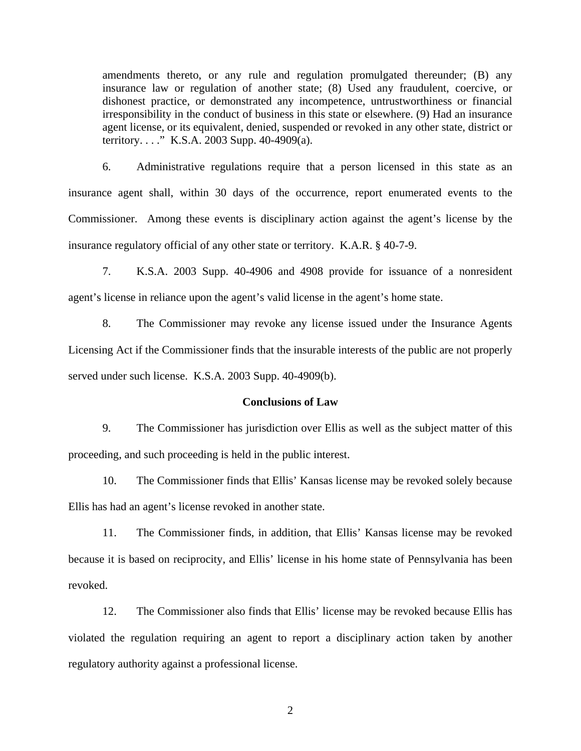amendments thereto, or any rule and regulation promulgated thereunder; (B) any insurance law or regulation of another state; (8) Used any fraudulent, coercive, or dishonest practice, or demonstrated any incompetence, untrustworthiness or financial irresponsibility in the conduct of business in this state or elsewhere. (9) Had an insurance agent license, or its equivalent, denied, suspended or revoked in any other state, district or territory. . . ." K.S.A. 2003 Supp. 40-4909(a).

6. Administrative regulations require that a person licensed in this state as an insurance agent shall, within 30 days of the occurrence, report enumerated events to the Commissioner. Among these events is disciplinary action against the agent's license by the insurance regulatory official of any other state or territory. K.A.R. § 40-7-9.

7. K.S.A. 2003 Supp. 40-4906 and 4908 provide for issuance of a nonresident agent's license in reliance upon the agent's valid license in the agent's home state.

8. The Commissioner may revoke any license issued under the Insurance Agents Licensing Act if the Commissioner finds that the insurable interests of the public are not properly served under such license. K.S.A. 2003 Supp. 40-4909(b).

### **Conclusions of Law**

9. The Commissioner has jurisdiction over Ellis as well as the subject matter of this proceeding, and such proceeding is held in the public interest.

10. The Commissioner finds that Ellis' Kansas license may be revoked solely because Ellis has had an agent's license revoked in another state.

11. The Commissioner finds, in addition, that Ellis' Kansas license may be revoked because it is based on reciprocity, and Ellis' license in his home state of Pennsylvania has been revoked.

12. The Commissioner also finds that Ellis' license may be revoked because Ellis has violated the regulation requiring an agent to report a disciplinary action taken by another regulatory authority against a professional license.

2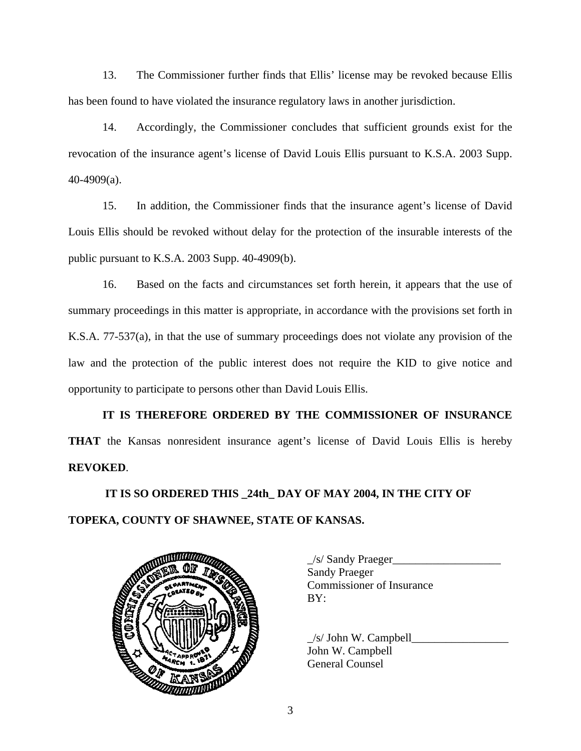13. The Commissioner further finds that Ellis' license may be revoked because Ellis has been found to have violated the insurance regulatory laws in another jurisdiction.

14. Accordingly, the Commissioner concludes that sufficient grounds exist for the revocation of the insurance agent's license of David Louis Ellis pursuant to K.S.A. 2003 Supp. 40-4909(a).

15. In addition, the Commissioner finds that the insurance agent's license of David Louis Ellis should be revoked without delay for the protection of the insurable interests of the public pursuant to K.S.A. 2003 Supp. 40-4909(b).

16. Based on the facts and circumstances set forth herein, it appears that the use of summary proceedings in this matter is appropriate, in accordance with the provisions set forth in K.S.A. 77-537(a), in that the use of summary proceedings does not violate any provision of the law and the protection of the public interest does not require the KID to give notice and opportunity to participate to persons other than David Louis Ellis.

**IT IS THEREFORE ORDERED BY THE COMMISSIONER OF INSURANCE THAT** the Kansas nonresident insurance agent's license of David Louis Ellis is hereby **REVOKED**.

 **IT IS SO ORDERED THIS \_24th\_ DAY OF MAY 2004, IN THE CITY OF TOPEKA, COUNTY OF SHAWNEE, STATE OF KANSAS.** 



 \_/s/ Sandy Praeger\_\_\_\_\_\_\_\_\_\_\_\_\_\_\_\_\_\_\_ Sandy Praeger Commissioner of Insurance

 $/s/$  John W. Campbell John W. Campbell General Counsel

3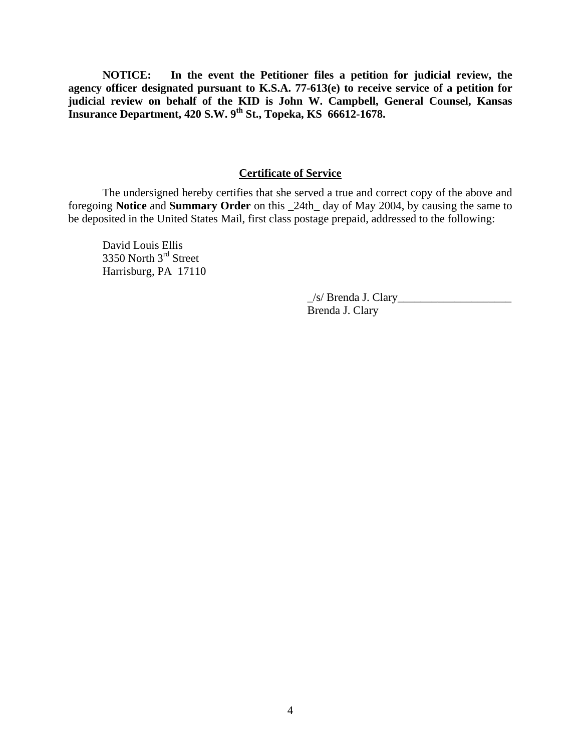**NOTICE: In the event the Petitioner files a petition for judicial review, the agency officer designated pursuant to K.S.A. 77-613(e) to receive service of a petition for judicial review on behalf of the KID is John W. Campbell, General Counsel, Kansas Insurance Department, 420 S.W. 9th St., Topeka, KS 66612-1678.** 

### **Certificate of Service**

 The undersigned hereby certifies that she served a true and correct copy of the above and foregoing **Notice** and **Summary Order** on this \_24th\_ day of May 2004, by causing the same to be deposited in the United States Mail, first class postage prepaid, addressed to the following:

 David Louis Ellis 3350 North 3rd Street Harrisburg, PA 17110

> \_/s/ Brenda J. Clary\_\_\_\_\_\_\_\_\_\_\_\_\_\_\_\_\_\_\_\_ Brenda J. Clary